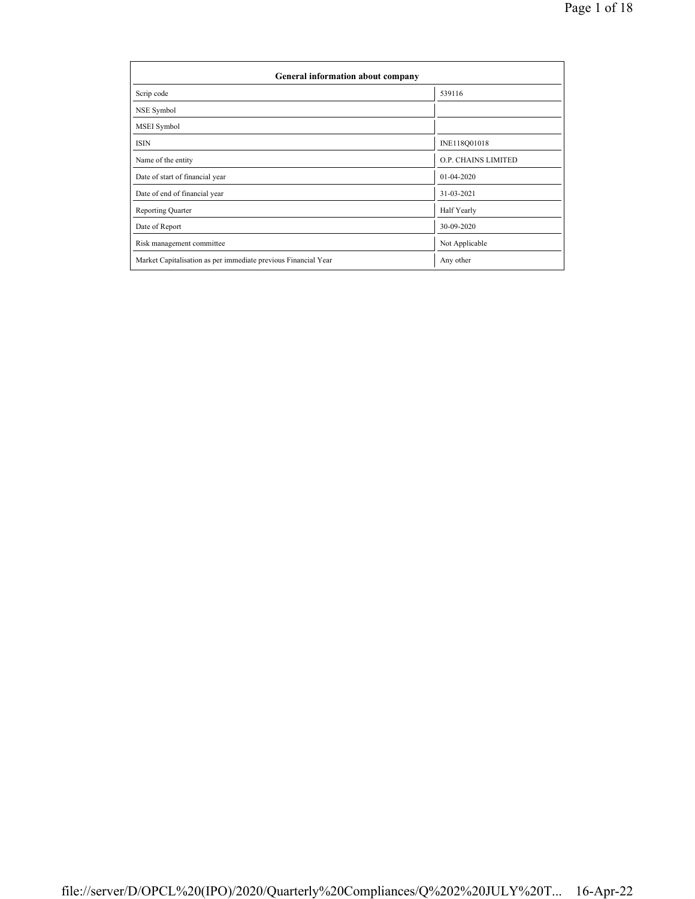| General information about company                              |                            |  |  |  |  |  |  |
|----------------------------------------------------------------|----------------------------|--|--|--|--|--|--|
| Scrip code                                                     | 539116                     |  |  |  |  |  |  |
| NSE Symbol                                                     |                            |  |  |  |  |  |  |
| MSEI Symbol                                                    |                            |  |  |  |  |  |  |
| <b>ISIN</b>                                                    | INE118Q01018               |  |  |  |  |  |  |
| Name of the entity                                             | <b>O.P. CHAINS LIMITED</b> |  |  |  |  |  |  |
| Date of start of financial year                                | $01 - 04 - 2020$           |  |  |  |  |  |  |
| Date of end of financial year                                  | 31-03-2021                 |  |  |  |  |  |  |
| <b>Reporting Quarter</b>                                       | Half Yearly                |  |  |  |  |  |  |
| Date of Report                                                 | 30-09-2020                 |  |  |  |  |  |  |
| Risk management committee                                      | Not Applicable             |  |  |  |  |  |  |
| Market Capitalisation as per immediate previous Financial Year | Any other                  |  |  |  |  |  |  |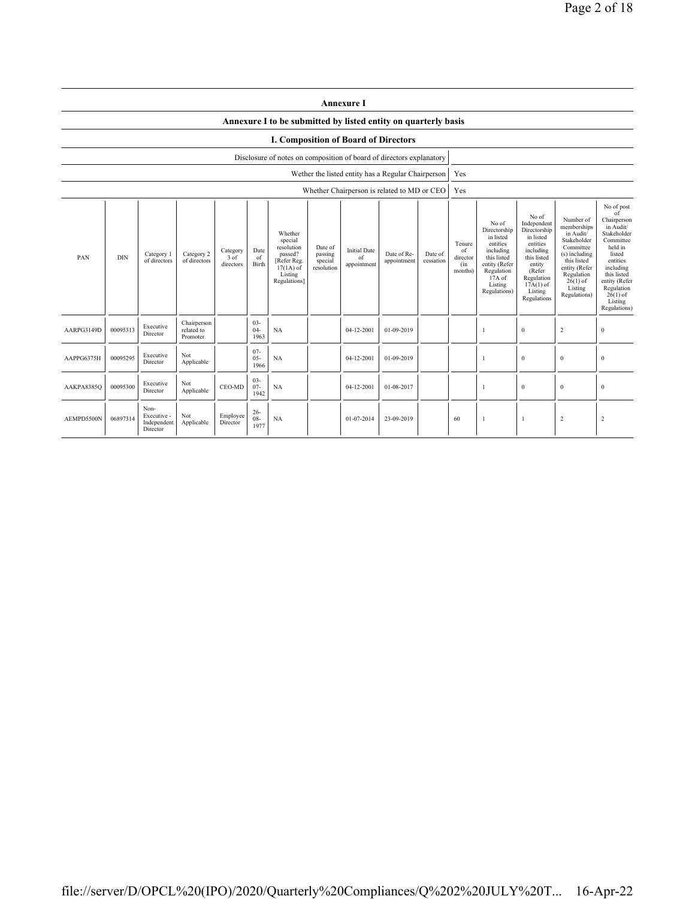|            | <b>Annexure I</b>                                                                                                                                                                                                                                                                                                                                                                         |                                                |                                       |                      |                                            |                                                                                                                                                |                                                                                                                                                                      |                                                                                                                                                                           |                                                                                                                                                                                                               |  |     |  |              |                  |                  |
|------------|-------------------------------------------------------------------------------------------------------------------------------------------------------------------------------------------------------------------------------------------------------------------------------------------------------------------------------------------------------------------------------------------|------------------------------------------------|---------------------------------------|----------------------|--------------------------------------------|------------------------------------------------------------------------------------------------------------------------------------------------|----------------------------------------------------------------------------------------------------------------------------------------------------------------------|---------------------------------------------------------------------------------------------------------------------------------------------------------------------------|---------------------------------------------------------------------------------------------------------------------------------------------------------------------------------------------------------------|--|-----|--|--------------|------------------|------------------|
|            |                                                                                                                                                                                                                                                                                                                                                                                           |                                                |                                       |                      |                                            | Annexure I to be submitted by listed entity on quarterly basis                                                                                 |                                                                                                                                                                      |                                                                                                                                                                           |                                                                                                                                                                                                               |  |     |  |              |                  |                  |
|            | <b>I. Composition of Board of Directors</b>                                                                                                                                                                                                                                                                                                                                               |                                                |                                       |                      |                                            |                                                                                                                                                |                                                                                                                                                                      |                                                                                                                                                                           |                                                                                                                                                                                                               |  |     |  |              |                  |                  |
|            | Disclosure of notes on composition of board of directors explanatory                                                                                                                                                                                                                                                                                                                      |                                                |                                       |                      |                                            |                                                                                                                                                |                                                                                                                                                                      |                                                                                                                                                                           |                                                                                                                                                                                                               |  |     |  |              |                  |                  |
|            |                                                                                                                                                                                                                                                                                                                                                                                           |                                                |                                       |                      |                                            |                                                                                                                                                |                                                                                                                                                                      | Wether the listed entity has a Regular Chairperson                                                                                                                        |                                                                                                                                                                                                               |  | Yes |  |              |                  |                  |
|            |                                                                                                                                                                                                                                                                                                                                                                                           |                                                |                                       |                      |                                            |                                                                                                                                                |                                                                                                                                                                      | Whether Chairperson is related to MD or CEO                                                                                                                               |                                                                                                                                                                                                               |  | Yes |  |              |                  |                  |
| PAN        | Whether<br>special<br>resolution<br>Date of<br><b>Initial Date</b><br>Date<br>Category<br>Category 2<br>passed?<br>Date of Re-<br>passing<br>Category 1<br>Date of<br><b>DIN</b><br>$3$ of<br>of<br>of<br>of directors<br>of directors<br>[Refer Reg.<br>special<br>appointment<br>cessation<br>Birth<br>directors<br>appointment<br>$17(1A)$ of<br>resolution<br>Listing<br>Regulations] |                                                |                                       |                      | Tenure<br>of<br>director<br>(in<br>months) | No of<br>Directorship<br>in listed<br>entities<br>including<br>this listed<br>entity (Refer<br>Regulation<br>17A of<br>Listing<br>Regulations) | No of<br>Independent<br>Directorship<br>in listed<br>entities<br>including<br>this listed<br>entity<br>(Refer<br>Regulation<br>$17A(1)$ of<br>Listing<br>Regulations | Number of<br>memberships<br>in Audit/<br>Stakeholder<br>Committee<br>(s) including<br>this listed<br>entity (Refer<br>Regulation<br>$26(1)$ of<br>Listing<br>Regulations) | No of post<br>of<br>Chairperson<br>in Audit/<br>Stakeholder<br>Committee<br>held in<br>listed<br>entities<br>including<br>this listed<br>entity (Refer<br>Regulation<br>$26(1)$ of<br>Listing<br>Regulations) |  |     |  |              |                  |                  |
| AARPG3149D | 00095313                                                                                                                                                                                                                                                                                                                                                                                  | Executive<br>Director                          | Chairperson<br>related to<br>Promoter |                      | $03 -$<br>$04-$<br>1963                    | <b>NA</b>                                                                                                                                      |                                                                                                                                                                      | 04-12-2001                                                                                                                                                                | 01-09-2019                                                                                                                                                                                                    |  |     |  | $\bf{0}$     | $\sqrt{2}$       | $\boldsymbol{0}$ |
| AAPPG6375H | 00095295                                                                                                                                                                                                                                                                                                                                                                                  | Executive<br>Director                          | Not<br>Applicable                     |                      | $07 -$<br>$05 -$<br>1966                   | <b>NA</b>                                                                                                                                      |                                                                                                                                                                      | 04-12-2001                                                                                                                                                                | 01-09-2019                                                                                                                                                                                                    |  |     |  | $\mathbf{0}$ | $\mathbf{0}$     | $\mathbf{0}$     |
| AAKPA8385Q | 00095300                                                                                                                                                                                                                                                                                                                                                                                  | Executive<br>Director                          | Not<br>Applicable                     | CEO-MD               | $03 -$<br>$07 -$<br>1942                   | <b>NA</b>                                                                                                                                      |                                                                                                                                                                      | 04-12-2001                                                                                                                                                                | 01-08-2017                                                                                                                                                                                                    |  |     |  | $\bf{0}$     | $\boldsymbol{0}$ | $\boldsymbol{0}$ |
| AEMPD5500N | 06897314                                                                                                                                                                                                                                                                                                                                                                                  | Non-<br>Executive -<br>Independent<br>Director | Not<br>Applicable                     | Employee<br>Director | $26 -$<br>$08 -$<br>1977                   | <b>NA</b>                                                                                                                                      |                                                                                                                                                                      | 01-07-2014                                                                                                                                                                | 23-09-2019                                                                                                                                                                                                    |  | 60  |  | 1            | $\overline{c}$   | $\overline{c}$   |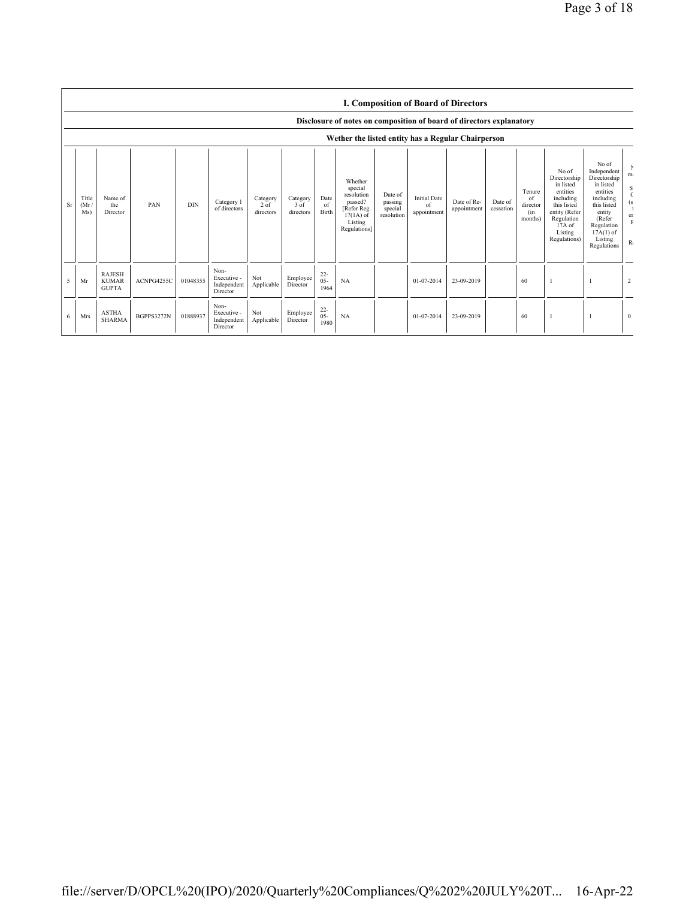|    |                                                                                                                            |                                               |            |            |                                                |                                 |                               |                          |                                                                                                      |                                             |                                          | <b>I. Composition of Board of Directors</b> |                      |                                            |                                                                                                                                                  |                                                                                                                                                                      |                         |
|----|----------------------------------------------------------------------------------------------------------------------------|-----------------------------------------------|------------|------------|------------------------------------------------|---------------------------------|-------------------------------|--------------------------|------------------------------------------------------------------------------------------------------|---------------------------------------------|------------------------------------------|---------------------------------------------|----------------------|--------------------------------------------|--------------------------------------------------------------------------------------------------------------------------------------------------|----------------------------------------------------------------------------------------------------------------------------------------------------------------------|-------------------------|
|    | Disclosure of notes on composition of board of directors explanatory<br>Wether the listed entity has a Regular Chairperson |                                               |            |            |                                                |                                 |                               |                          |                                                                                                      |                                             |                                          |                                             |                      |                                            |                                                                                                                                                  |                                                                                                                                                                      |                         |
| Sr | Title<br>(Mr)<br>Ms)                                                                                                       | Name of<br>the<br>Director                    | PAN        | <b>DIN</b> | Category 1<br>of directors                     | Category<br>$2$ of<br>directors | Category<br>3 of<br>directors | Date<br>of<br>Birth      | Whether<br>special<br>resolution<br>passed?<br>[Refer Reg.<br>$17(1A)$ of<br>Listing<br>Regulations] | Date of<br>passing<br>special<br>resolution | <b>Initial Date</b><br>of<br>appointment | Date of Re-<br>appointment                  | Date of<br>cessation | Tenure<br>of<br>director<br>(in<br>months) | No of<br>Directorship<br>in listed<br>entities<br>including<br>this listed<br>entity (Refer<br>Regulation<br>$17A$ of<br>Listing<br>Regulations) | No of<br>Independent<br>Directorship<br>in listed<br>entities<br>including<br>this listed<br>entity<br>(Refer<br>Regulation<br>$17A(1)$ of<br>Listing<br>Regulations | m<br>S<br>er<br>$R_{0}$ |
| 5  | Mr                                                                                                                         | <b>RAJESH</b><br><b>KUMAR</b><br><b>GUPTA</b> | ACNPG4255C | 01048355   | Non-<br>Executive -<br>Independent<br>Director | Not<br>Applicable               | Employee<br>Director          | $22 -$<br>$05 -$<br>1964 | NA                                                                                                   |                                             | 01-07-2014                               | 23-09-2019                                  |                      | 60                                         |                                                                                                                                                  |                                                                                                                                                                      | $\overline{2}$          |
| 6  | <b>Mrs</b>                                                                                                                 | <b>ASTHA</b><br><b>SHARMA</b>                 | BGPPS3272N | 01888937   | Non-<br>Executive -<br>Independent<br>Director | Not<br>Applicable               | Employee<br>Director          | $^{22}_{05}$<br>1980     | NA                                                                                                   |                                             | 01-07-2014                               | 23-09-2019                                  |                      | 60                                         |                                                                                                                                                  |                                                                                                                                                                      | $\Omega$                |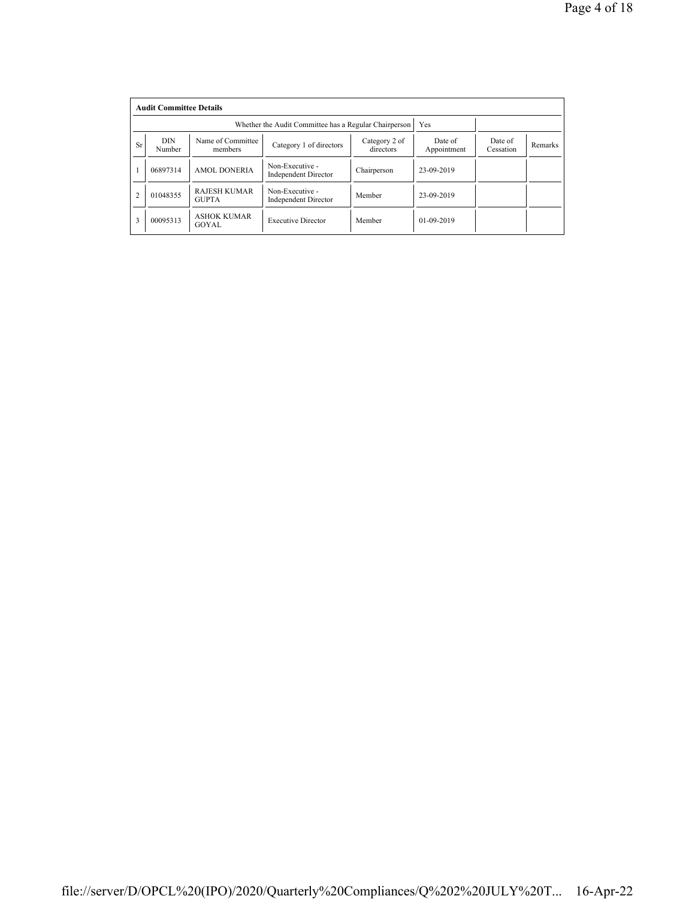|                | <b>Audit Committee Details</b> |                                     |                                                       |                      |                  |  |  |  |  |  |
|----------------|--------------------------------|-------------------------------------|-------------------------------------------------------|----------------------|------------------|--|--|--|--|--|
|                |                                |                                     | Whether the Audit Committee has a Regular Chairperson | Yes                  |                  |  |  |  |  |  |
| <b>Sr</b>      | <b>DIN</b><br>Number           | Name of Committee<br>members        | Date of<br>Appointment                                | Date of<br>Cessation | Remarks          |  |  |  |  |  |
|                | 06897314                       | <b>AMOL DONERIA</b>                 | Non-Executive -<br><b>Independent Director</b>        | Chairperson          | 23-09-2019       |  |  |  |  |  |
| $\overline{2}$ | 01048355                       | <b>RAJESH KUMAR</b><br><b>GUPTA</b> | Non-Executive -<br><b>Independent Director</b>        | Member               | 23-09-2019       |  |  |  |  |  |
| 3              | 00095313                       | <b>ASHOK KUMAR</b><br>GOYAL         | <b>Executive Director</b>                             | Member               | $01 - 09 - 2019$ |  |  |  |  |  |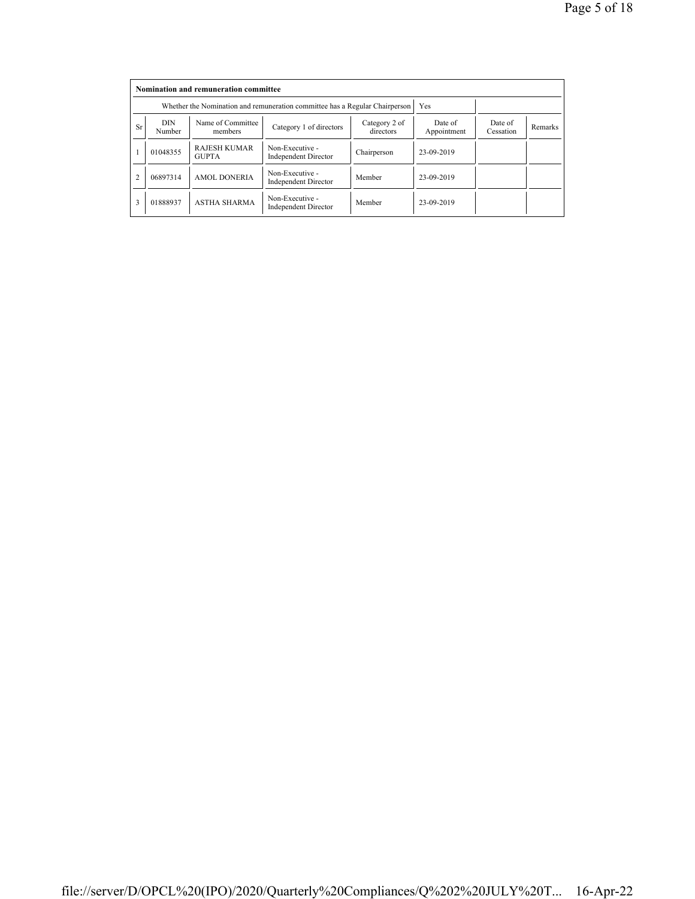|           | Nomination and remuneration committee |                                                                             |                                                |                        |                      |         |  |  |  |
|-----------|---------------------------------------|-----------------------------------------------------------------------------|------------------------------------------------|------------------------|----------------------|---------|--|--|--|
|           |                                       | Whether the Nomination and remuneration committee has a Regular Chairperson |                                                | Yes                    |                      |         |  |  |  |
| <b>Sr</b> | <b>DIN</b><br>Number                  | Name of Committee<br>members                                                | Category 2 of<br>directors                     | Date of<br>Appointment | Date of<br>Cessation | Remarks |  |  |  |
|           | 01048355                              | <b>RAJESH KUMAR</b><br><b>GUPTA</b>                                         | Non-Executive -<br><b>Independent Director</b> | Chairperson            | 23-09-2019           |         |  |  |  |
|           | 06897314                              | <b>AMOL DONERIA</b>                                                         | Non-Executive -<br><b>Independent Director</b> | Member                 | 23-09-2019           |         |  |  |  |
| 3         | 01888937                              | <b>ASTHA SHARMA</b>                                                         | Non-Executive -<br><b>Independent Director</b> | Member                 | 23-09-2019           |         |  |  |  |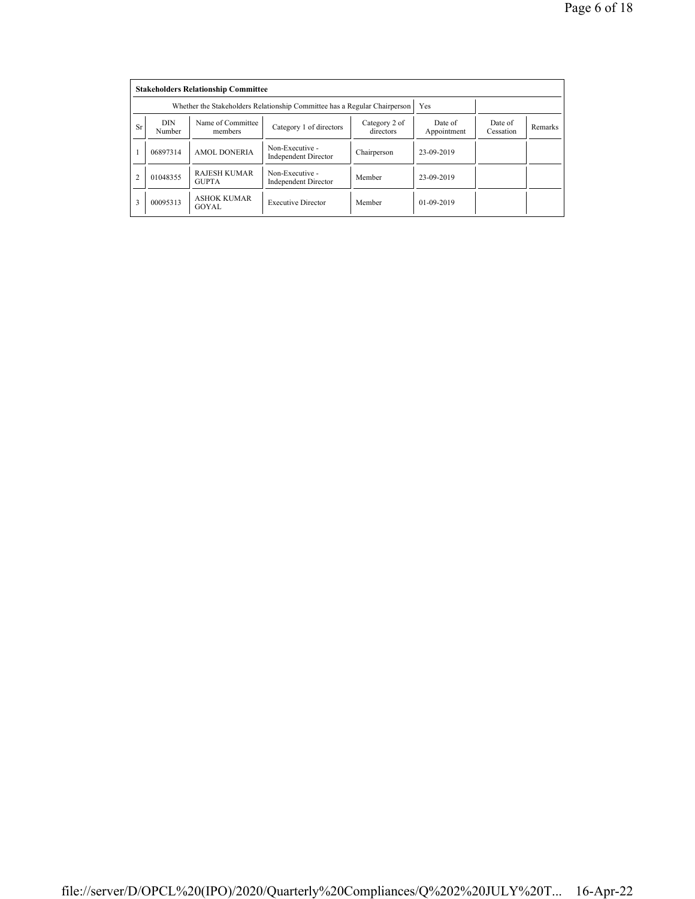|                | <b>Stakeholders Relationship Committee</b> |                                                                           |                                                |                      |              |  |  |  |  |  |
|----------------|--------------------------------------------|---------------------------------------------------------------------------|------------------------------------------------|----------------------|--------------|--|--|--|--|--|
|                |                                            | Whether the Stakeholders Relationship Committee has a Regular Chairperson |                                                | Yes                  |              |  |  |  |  |  |
| <b>Sr</b>      | <b>DIN</b><br>Number                       | Name of Committee<br>members                                              | Date of<br>Appointment                         | Date of<br>Cessation | Remarks      |  |  |  |  |  |
|                | 06897314                                   | <b>AMOL DONERIA</b>                                                       | Non-Executive -<br><b>Independent Director</b> | Chairperson          | 23-09-2019   |  |  |  |  |  |
| $\overline{2}$ | 01048355                                   | <b>RAJESH KUMAR</b><br><b>GUPTA</b>                                       | Non-Executive -<br><b>Independent Director</b> | Member               | 23-09-2019   |  |  |  |  |  |
| 3              | 00095313                                   | <b>ASHOK KUMAR</b><br>GOYAL                                               | <b>Executive Director</b>                      | Member               | $01-09-2019$ |  |  |  |  |  |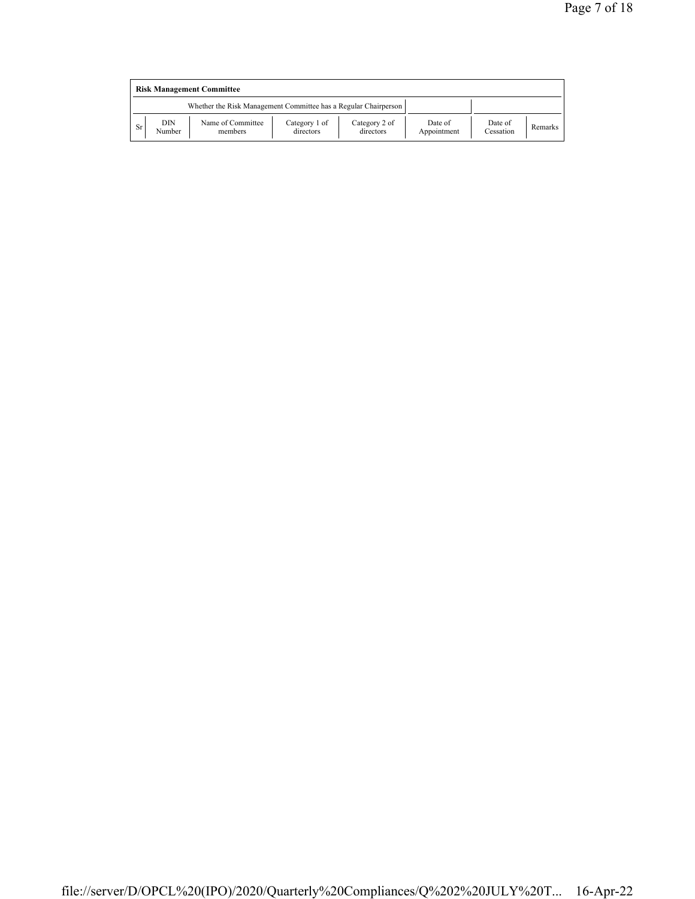|    | <b>Risk Management Committee</b> |                                                                 |                            |                            |                        |                      |         |  |  |  |
|----|----------------------------------|-----------------------------------------------------------------|----------------------------|----------------------------|------------------------|----------------------|---------|--|--|--|
|    |                                  | Whether the Risk Management Committee has a Regular Chairperson |                            |                            |                        |                      |         |  |  |  |
| Sr | DIN<br>Number                    | Name of Committee<br>members                                    | Category 1 of<br>directors | Category 2 of<br>directors | Date of<br>Appointment | Date of<br>Cessation | Remarks |  |  |  |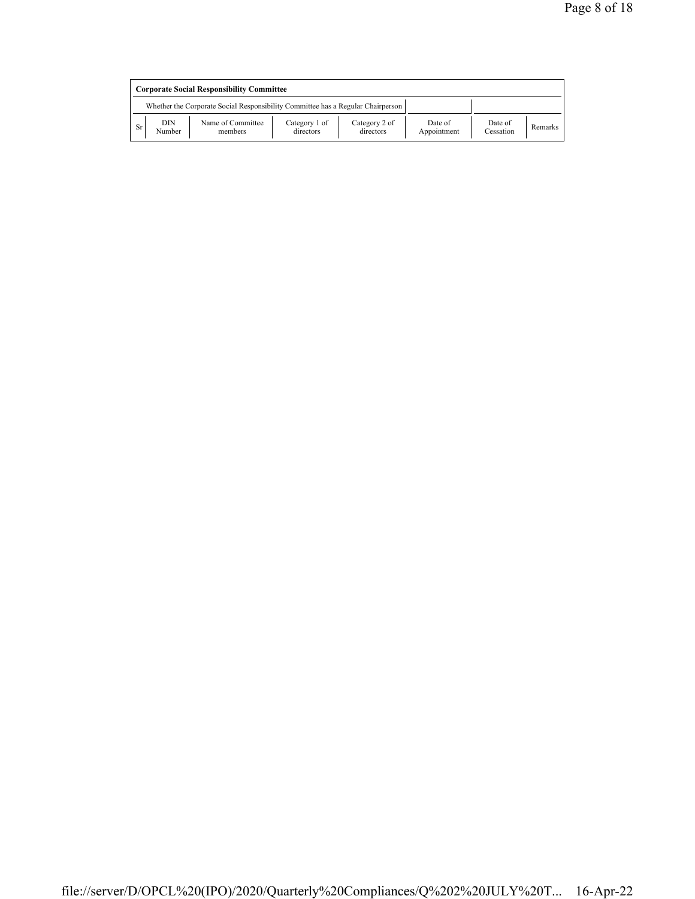|    | <b>Corporate Social Responsibility Committee</b> |                                                                                 |                            |                            |                        |                      |         |  |  |
|----|--------------------------------------------------|---------------------------------------------------------------------------------|----------------------------|----------------------------|------------------------|----------------------|---------|--|--|
|    |                                                  | Whether the Corporate Social Responsibility Committee has a Regular Chairperson |                            |                            |                        |                      |         |  |  |
| Sr | DIN<br>Number                                    | Name of Committee<br>members                                                    | Category 1 of<br>directors | Category 2 of<br>directors | Date of<br>Appointment | Date of<br>Cessation | Remarks |  |  |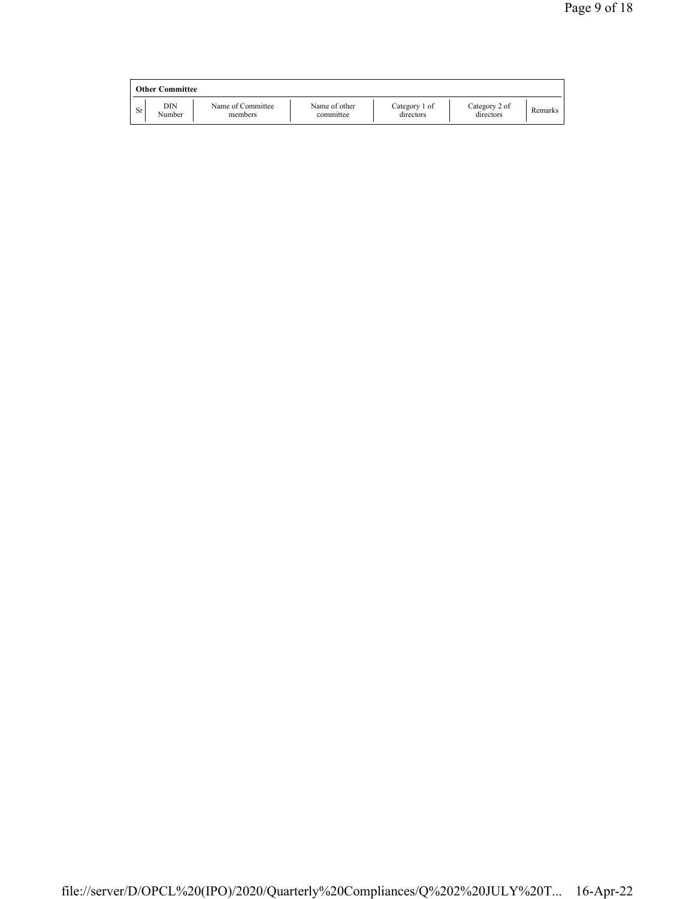|     | <b>Other Committee</b> |                              |                            |                            |                            |         |
|-----|------------------------|------------------------------|----------------------------|----------------------------|----------------------------|---------|
| Sr. | DIN<br>Number          | Name of Committee<br>members | Name of other<br>committee | Category 1 of<br>directors | Category 2 of<br>directors | Remarks |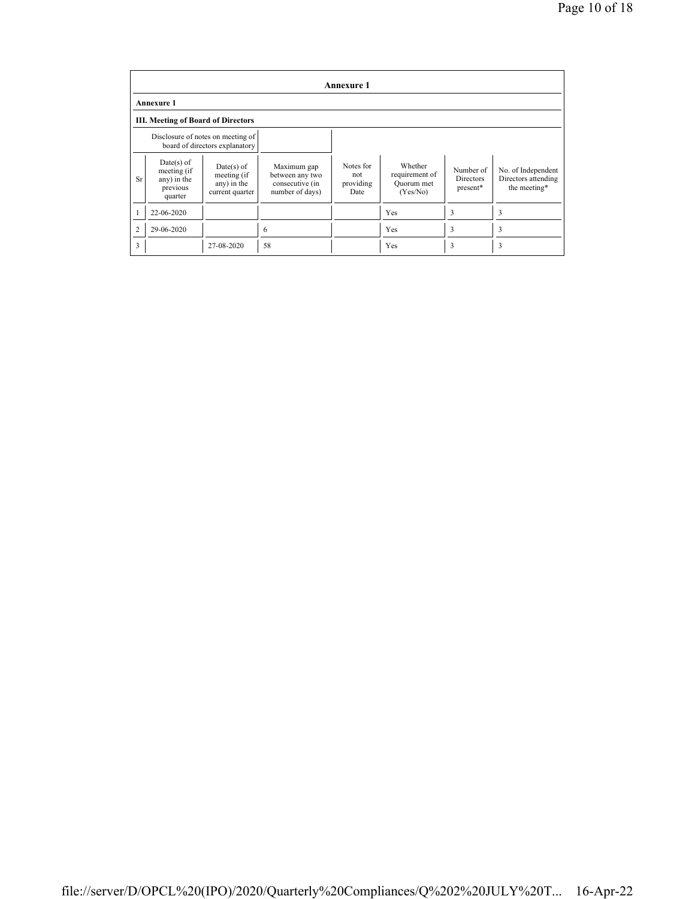|                | <b>Annexure 1</b>                                                 |                                                                     |                                                                      |                                       |                                                     |                                           |                                                           |  |  |
|----------------|-------------------------------------------------------------------|---------------------------------------------------------------------|----------------------------------------------------------------------|---------------------------------------|-----------------------------------------------------|-------------------------------------------|-----------------------------------------------------------|--|--|
|                | <b>Annexure 1</b>                                                 |                                                                     |                                                                      |                                       |                                                     |                                           |                                                           |  |  |
|                | III. Meeting of Board of Directors                                |                                                                     |                                                                      |                                       |                                                     |                                           |                                                           |  |  |
|                |                                                                   | Disclosure of notes on meeting of<br>board of directors explanatory |                                                                      |                                       |                                                     |                                           |                                                           |  |  |
| <b>Sr</b>      | $Date(s)$ of<br>meeting (if<br>any) in the<br>previous<br>quarter | $Date(s)$ of<br>meeting (if<br>any) in the<br>current quarter       | Maximum gap<br>between any two<br>consecutive (in<br>number of days) | Notes for<br>not<br>providing<br>Date | Whether<br>requirement of<br>Quorum met<br>(Yes/No) | Number of<br><b>Directors</b><br>present* | No. of Independent<br>Directors attending<br>the meeting* |  |  |
|                | 22-06-2020                                                        |                                                                     |                                                                      |                                       | Yes                                                 | 3                                         | 3                                                         |  |  |
| $\overline{c}$ | 29-06-2020                                                        |                                                                     | 6                                                                    |                                       | Yes                                                 | 3                                         | 3                                                         |  |  |
| 3              |                                                                   | 27-08-2020                                                          | 58                                                                   |                                       | Yes                                                 | 3                                         | 3                                                         |  |  |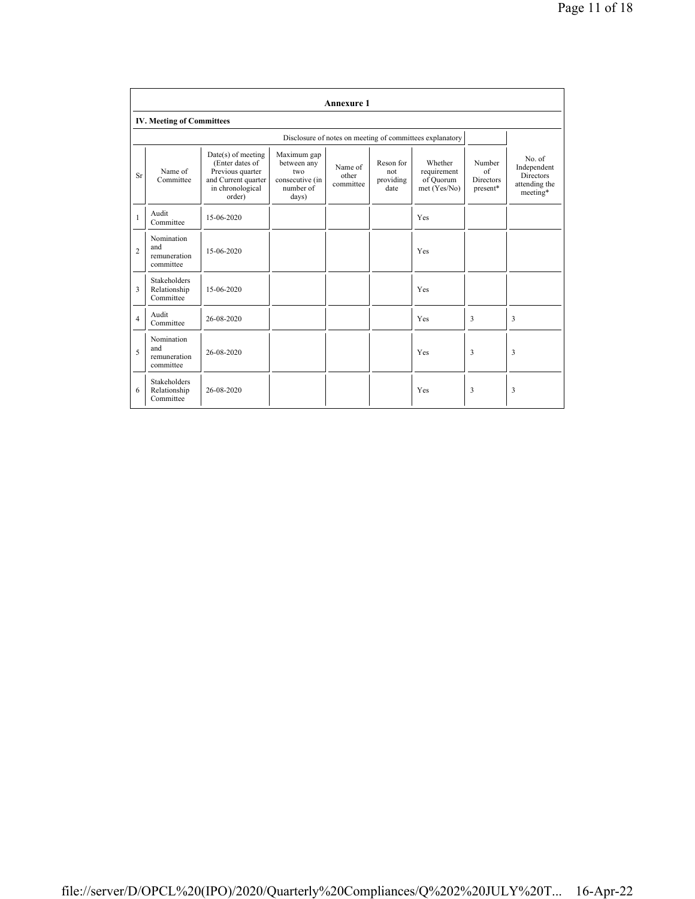|                | <b>Annexure 1</b>                                |                                                                                                                  |                                                                            |                               |                                       |                                                          |                                                      |                                                                |
|----------------|--------------------------------------------------|------------------------------------------------------------------------------------------------------------------|----------------------------------------------------------------------------|-------------------------------|---------------------------------------|----------------------------------------------------------|------------------------------------------------------|----------------------------------------------------------------|
|                | <b>IV. Meeting of Committees</b>                 |                                                                                                                  |                                                                            |                               |                                       |                                                          |                                                      |                                                                |
|                |                                                  |                                                                                                                  |                                                                            |                               |                                       | Disclosure of notes on meeting of committees explanatory |                                                      |                                                                |
| <b>Sr</b>      | Name of<br>Committee                             | $Date(s)$ of meeting<br>(Enter dates of<br>Previous quarter<br>and Current quarter<br>in chronological<br>order) | Maximum gap<br>between any<br>two<br>consecutive (in<br>number of<br>days) | Name of<br>other<br>committee | Reson for<br>not<br>providing<br>date | Whether<br>requirement<br>of Ouorum<br>met (Yes/No)      | Number<br>$\alpha$ f<br><b>Directors</b><br>present* | No of<br>Independent<br>Directors<br>attending the<br>meeting* |
| 1              | Audit<br>Committee                               | 15-06-2020                                                                                                       |                                                                            |                               |                                       | Yes                                                      |                                                      |                                                                |
| $\overline{c}$ | Nomination<br>and<br>remuneration<br>committee   | 15-06-2020                                                                                                       |                                                                            |                               |                                       | Yes                                                      |                                                      |                                                                |
| 3              | <b>Stakeholders</b><br>Relationship<br>Committee | 15-06-2020                                                                                                       |                                                                            |                               |                                       | Yes                                                      |                                                      |                                                                |
| $\overline{4}$ | Audit<br>Committee                               | 26-08-2020                                                                                                       |                                                                            |                               |                                       | Yes                                                      | 3                                                    | 3                                                              |
| 5              | Nomination<br>and<br>remuneration<br>committee   | 26-08-2020                                                                                                       |                                                                            |                               |                                       | Yes                                                      | 3                                                    | 3                                                              |
| 6              | <b>Stakeholders</b><br>Relationship<br>Committee | 26-08-2020                                                                                                       |                                                                            |                               |                                       | Yes                                                      | 3                                                    | 3                                                              |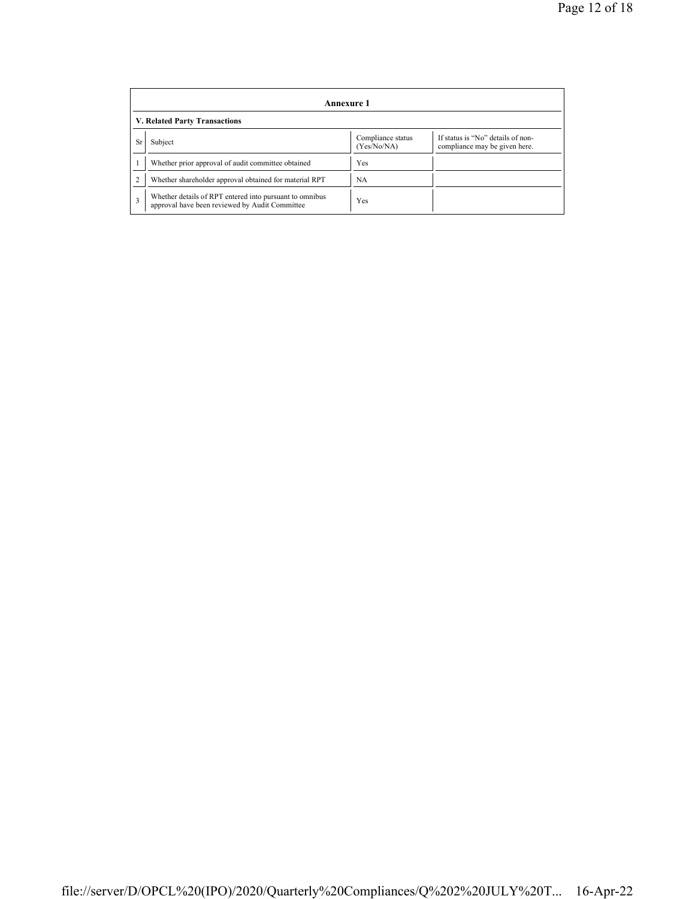|           | Annexure 1                                                                                                |                                  |                                                                    |  |  |  |  |  |
|-----------|-----------------------------------------------------------------------------------------------------------|----------------------------------|--------------------------------------------------------------------|--|--|--|--|--|
|           | V. Related Party Transactions                                                                             |                                  |                                                                    |  |  |  |  |  |
| <b>Sr</b> | Subject                                                                                                   | Compliance status<br>(Yes/No/NA) | If status is "No" details of non-<br>compliance may be given here. |  |  |  |  |  |
|           | Whether prior approval of audit committee obtained                                                        | Yes                              |                                                                    |  |  |  |  |  |
|           | Whether shareholder approval obtained for material RPT                                                    | NA                               |                                                                    |  |  |  |  |  |
| 3         | Whether details of RPT entered into pursuant to omnibus<br>approval have been reviewed by Audit Committee | Yes                              |                                                                    |  |  |  |  |  |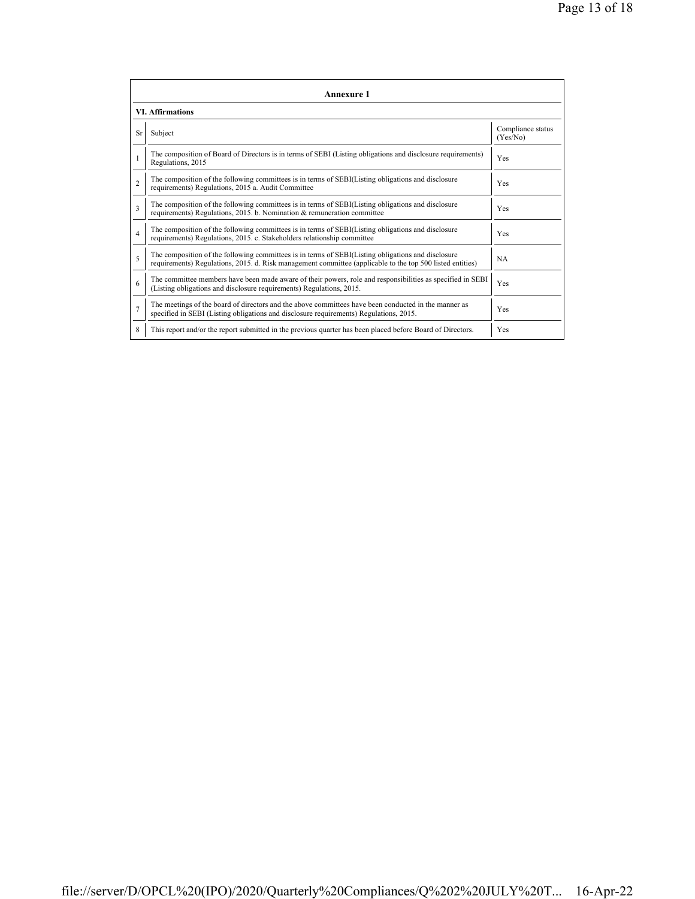|                | <b>Annexure 1</b>                                                                                                                                                                                               |                               |  |  |  |
|----------------|-----------------------------------------------------------------------------------------------------------------------------------------------------------------------------------------------------------------|-------------------------------|--|--|--|
|                | <b>VI. Affirmations</b>                                                                                                                                                                                         |                               |  |  |  |
| <b>Sr</b>      | Subject                                                                                                                                                                                                         | Compliance status<br>(Yes/No) |  |  |  |
|                | The composition of Board of Directors is in terms of SEBI (Listing obligations and disclosure requirements)<br>Yes<br>Regulations, 2015                                                                         |                               |  |  |  |
| $\mathfrak{D}$ | The composition of the following committees is in terms of SEBI(Listing obligations and disclosure<br>requirements) Regulations, 2015 a. Audit Committee                                                        |                               |  |  |  |
| 3              | The composition of the following committees is in terms of SEBI(Listing obligations and disclosure<br>requirements) Regulations, 2015. b. Nomination & remuneration committee                                   | Yes                           |  |  |  |
| $\overline{4}$ | The composition of the following committees is in terms of SEBI(Listing obligations and disclosure<br>requirements) Regulations, 2015. c. Stakeholders relationship committee                                   | Yes                           |  |  |  |
| 5              | The composition of the following committees is in terms of SEBI(Listing obligations and disclosure<br>requirements) Regulations, 2015. d. Risk management committee (applicable to the top 500 listed entities) | <b>NA</b>                     |  |  |  |
| 6              | The committee members have been made aware of their powers, role and responsibilities as specified in SEBI<br>(Listing obligations and disclosure requirements) Regulations, 2015.                              | Yes                           |  |  |  |
| $\overline{7}$ | The meetings of the board of directors and the above committees have been conducted in the manner as<br>specified in SEBI (Listing obligations and disclosure requirements) Regulations, 2015.                  | Yes                           |  |  |  |
| 8              | This report and/or the report submitted in the previous quarter has been placed before Board of Directors.                                                                                                      | Yes                           |  |  |  |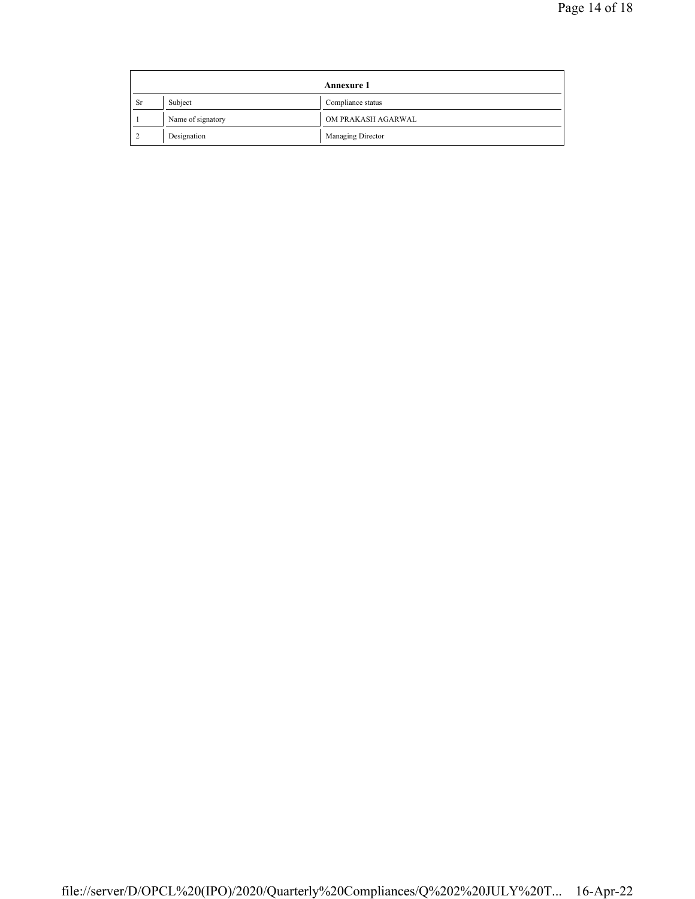|           | <b>Annexure 1</b> |                    |
|-----------|-------------------|--------------------|
| <b>Sr</b> | Subject           | Compliance status  |
|           | Name of signatory | OM PRAKASH AGARWAL |
|           | Designation       | Managing Director  |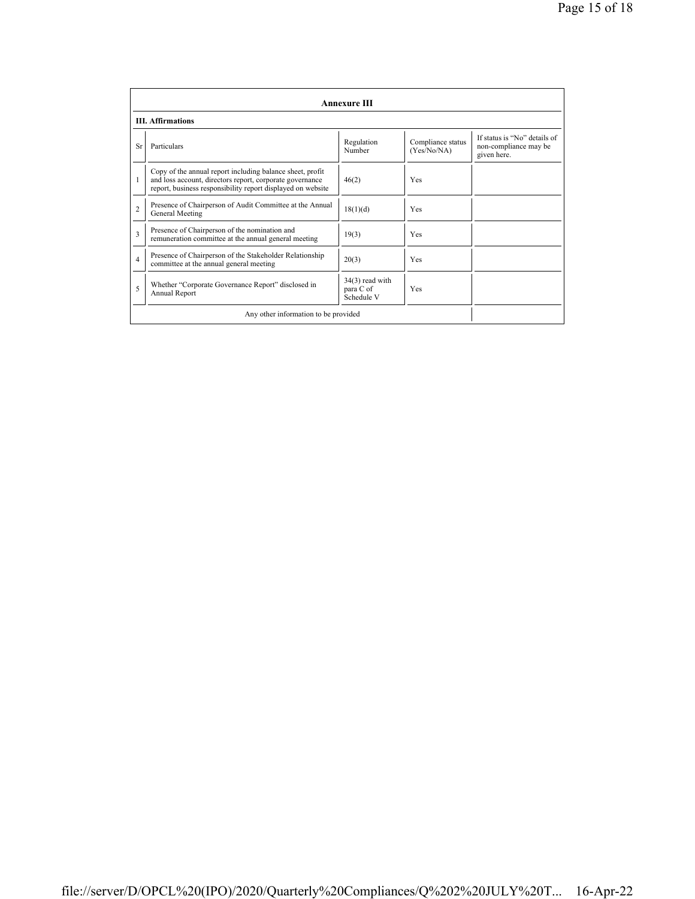|                          | <b>Annexure III</b>                                                                                                                                                                  |                                              |                                  |                                                                      |  |
|--------------------------|--------------------------------------------------------------------------------------------------------------------------------------------------------------------------------------|----------------------------------------------|----------------------------------|----------------------------------------------------------------------|--|
| <b>III.</b> Affirmations |                                                                                                                                                                                      |                                              |                                  |                                                                      |  |
| Sr                       | Particulars                                                                                                                                                                          | Regulation<br>Number                         | Compliance status<br>(Yes/No/NA) | If status is "No" details of<br>non-compliance may be<br>given here. |  |
|                          | Copy of the annual report including balance sheet, profit<br>and loss account, directors report, corporate governance<br>report, business responsibility report displayed on website | 46(2)                                        | Yes                              |                                                                      |  |
| $\overline{c}$           | Presence of Chairperson of Audit Committee at the Annual<br>General Meeting                                                                                                          | 18(1)(d)                                     | Yes                              |                                                                      |  |
| $\mathbf{3}$             | Presence of Chairperson of the nomination and<br>remuneration committee at the annual general meeting                                                                                | 19(3)                                        | Yes                              |                                                                      |  |
| 4                        | Presence of Chairperson of the Stakeholder Relationship<br>committee at the annual general meeting                                                                                   | 20(3)                                        | Yes                              |                                                                      |  |
| 5                        | Whether "Corporate Governance Report" disclosed in<br>Annual Report                                                                                                                  | $34(3)$ read with<br>para C of<br>Schedule V | Yes                              |                                                                      |  |
|                          | Any other information to be provided                                                                                                                                                 |                                              |                                  |                                                                      |  |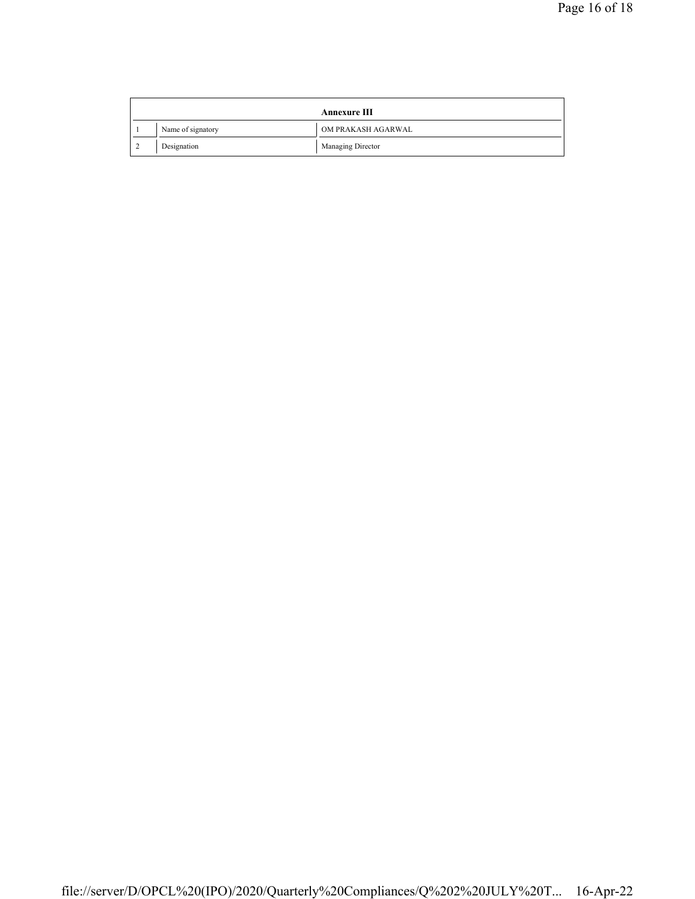|  | <b>Annexure III</b> |                    |  |
|--|---------------------|--------------------|--|
|  | Name of signatory   | OM PRAKASH AGARWAL |  |
|  | Designation         | Managing Director  |  |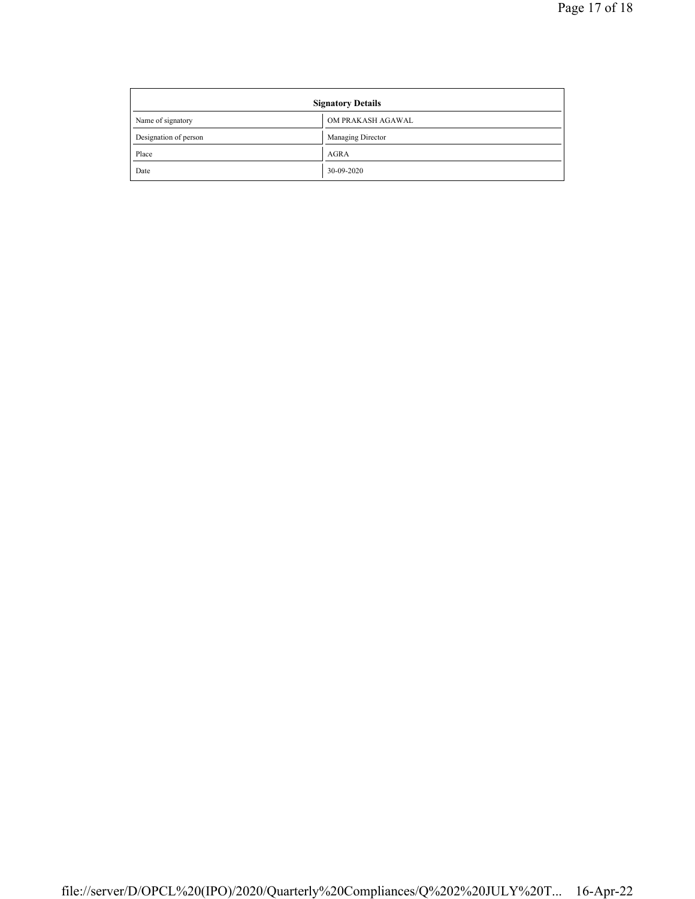| <b>Signatory Details</b> |                   |  |
|--------------------------|-------------------|--|
| Name of signatory        | OM PRAKASH AGAWAL |  |
| Designation of person    | Managing Director |  |
| Place                    | <b>AGRA</b>       |  |
| Date                     | 30-09-2020        |  |